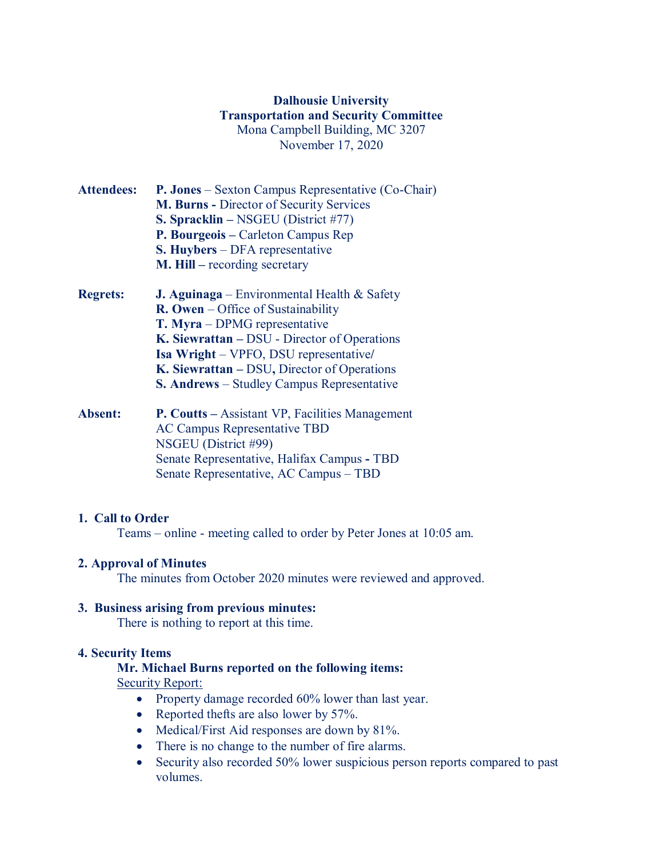# **Dalhousie University Transportation and Security Committee** Mona Campbell Building, MC 3207 November 17, 2020

- **Attendees: P. Jones** Sexton Campus Representative (Co-Chair) **M. Burns -** Director of Security Services **S. Spracklin –** NSGEU (District #77) **P. Bourgeois –** Carleton Campus Rep **S. Huybers** – DFA representative **M. Hill –** recording secretary
- **Regrets: J. Aguinaga** Environmental Health & Safety **R. Owen** – Office of Sustainability **T. Myra** – DPMG representative **K. Siewrattan –** DSU - Director of Operations **Isa Wright** – VPFO, DSU representative**/ K. Siewrattan –** DSU**,** Director of Operations **S. Andrews** – Studley Campus Representative
- **Absent: P. Coutts –** Assistant VP, Facilities Management AC Campus Representative TBD NSGEU (District #99) Senate Representative, Halifax Campus **-** TBD Senate Representative, AC Campus – TBD

## **1. Call to Order**

Teams – online - meeting called to order by Peter Jones at 10:05 am.

## **2. Approval of Minutes**

The minutes from October 2020 minutes were reviewed and approved.

## **3. Business arising from previous minutes:**

There is nothing to report at this time.

#### **4. Security Items**

## **Mr. Michael Burns reported on the following items:**

Security Report:

- Property damage recorded 60% lower than last year.
- Reported thefts are also lower by 57%.
- Medical/First Aid responses are down by 81%.
- There is no change to the number of fire alarms.
- Security also recorded 50% lower suspicious person reports compared to past volumes.